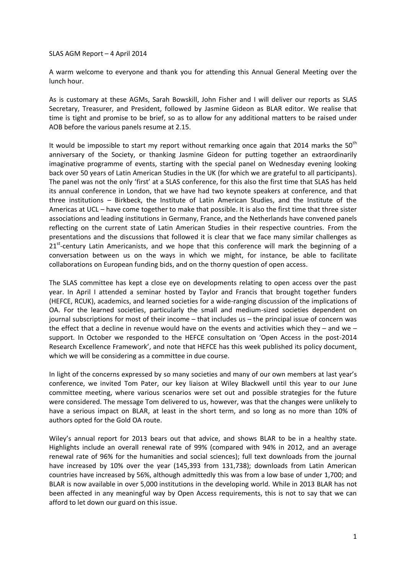SLAS AGM Report – 4 April 2014

A warm welcome to everyone and thank you for attending this Annual General Meeting over the lunch hour.

As is customary at these AGMs, Sarah Bowskill, John Fisher and I will deliver our reports as SLAS Secretary, Treasurer, and President, followed by Jasmine Gideon as BLAR editor. We realise that time is tight and promise to be brief, so as to allow for any additional matters to be raised under AOB before the various panels resume at 2.15.

It would be impossible to start my report without remarking once again that 2014 marks the  $50<sup>th</sup>$ anniversary of the Society, or thanking Jasmine Gideon for putting together an extraordinarily imaginative programme of events, starting with the special panel on Wednesday evening looking back over 50 years of Latin American Studies in the UK (for which we are grateful to all participants). The panel was not the only 'first' at a SLAS conference, for this also the first time that SLAS has held its annual conference in London, that we have had two keynote speakers at conference, and that three institutions – Birkbeck, the Institute of Latin American Studies, and the Institute of the Americas at UCL – have come together to make that possible. It is also the first time that three sister associations and leading institutions in Germany, France, and the Netherlands have convened panels reflecting on the current state of Latin American Studies in their respective countries. From the presentations and the discussions that followed it is clear that we face many similar challenges as 21<sup>st</sup>-century Latin Americanists, and we hope that this conference will mark the beginning of a conversation between us on the ways in which we might, for instance, be able to facilitate collaborations on European funding bids, and on the thorny question of open access.

The SLAS committee has kept a close eye on developments relating to open access over the past year. In April I attended a seminar hosted by Taylor and Francis that brought together funders (HEFCE, RCUK), academics, and learned societies for a wide-ranging discussion of the implications of OA. For the learned societies, particularly the small and medium-sized societies dependent on journal subscriptions for most of their income – that includes us – the principal issue of concern was the effect that a decline in revenue would have on the events and activities which they – and we – support. In October we responded to the HEFCE consultation on 'Open Access in the post-2014 Research Excellence Framework', and note that HEFCE has this week published its policy document, which we will be considering as a committee in due course.

In light of the concerns expressed by so many societies and many of our own members at last year's conference, we invited Tom Pater, our key liaison at Wiley Blackwell until this year to our June committee meeting, where various scenarios were set out and possible strategies for the future were considered. The message Tom delivered to us, however, was that the changes were unlikely to have a serious impact on BLAR, at least in the short term, and so long as no more than 10% of authors opted for the Gold OA route.

Wiley's annual report for 2013 bears out that advice, and shows BLAR to be in a healthy state. Highlights include an overall renewal rate of 99% (compared with 94% in 2012, and an average renewal rate of 96% for the humanities and social sciences); full text downloads from the journal have increased by 10% over the year (145,393 from 131,738); downloads from Latin American countries have increased by 56%, although admittedly this was from a low base of under 1,700; and BLAR is now available in over 5,000 institutions in the developing world. While in 2013 BLAR has not been affected in any meaningful way by Open Access requirements, this is not to say that we can afford to let down our guard on this issue.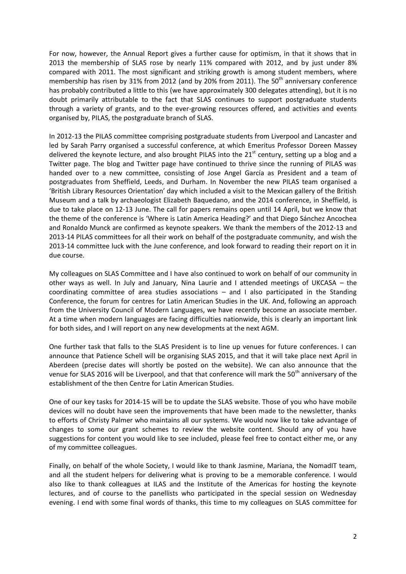For now, however, the Annual Report gives a further cause for optimism, in that it shows that in 2013 the membership of SLAS rose by nearly 11% compared with 2012, and by just under 8% compared with 2011. The most significant and striking growth is among student members, where membership has risen by 31% from 2012 (and by 20% from 2011). The  $50<sup>th</sup>$  anniversary conference has probably contributed a little to this (we have approximately 300 delegates attending), but it is no doubt primarily attributable to the fact that SLAS continues to support postgraduate students through a variety of grants, and to the ever-growing resources offered, and activities and events organised by, PILAS, the postgraduate branch of SLAS.

In 2012-13 the PILAS committee comprising postgraduate students from Liverpool and Lancaster and led by Sarah Parry organised a successful conference, at which Emeritus Professor Doreen Massey delivered the keynote lecture, and also brought PILAS into the 21<sup>st</sup> century, setting up a blog and a Twitter page. The blog and Twitter page have continued to thrive since the running of PILAS was handed over to a new committee, consisting of Jose Angel García as President and a team of postgraduates from Sheffield, Leeds, and Durham. In November the new PILAS team organised a 'British Library Resources Orientation' day which included a visit to the Mexican gallery of the British Museum and a talk by archaeologist Elizabeth Baquedano, and the 2014 conference, in Sheffield, is due to take place on 12-13 June. The call for papers remains open until 14 April, but we know that the theme of the conference is 'Where is Latin America Heading?' and that Diego Sánchez Ancochea and Ronaldo Munck are confirmed as keynote speakers. We thank the members of the 2012-13 and 2013-14 PILAS committees for all their work on behalf of the postgraduate community, and wish the 2013-14 committee luck with the June conference, and look forward to reading their report on it in due course.

My colleagues on SLAS Committee and I have also continued to work on behalf of our community in other ways as well. In July and January, Nina Laurie and I attended meetings of UKCASA – the coordinating committee of area studies associations – and I also participated in the Standing Conference, the forum for centres for Latin American Studies in the UK. And, following an approach from the University Council of Modern Languages, we have recently become an associate member. At a time when modern languages are facing difficulties nationwide, this is clearly an important link for both sides, and I will report on any new developments at the next AGM.

One further task that falls to the SLAS President is to line up venues for future conferences. I can announce that Patience Schell will be organising SLAS 2015, and that it will take place next April in Aberdeen (precise dates will shortly be posted on the website). We can also announce that the venue for SLAS 2016 will be Liverpool, and that that conference will mark the 50<sup>th</sup> anniversary of the establishment of the then Centre for Latin American Studies.

One of our key tasks for 2014-15 will be to update the SLAS website. Those of you who have mobile devices will no doubt have seen the improvements that have been made to the newsletter, thanks to efforts of Christy Palmer who maintains all our systems. We would now like to take advantage of changes to some our grant schemes to review the website content. Should any of you have suggestions for content you would like to see included, please feel free to contact either me, or any of my committee colleagues.

Finally, on behalf of the whole Society, I would like to thank Jasmine, Mariana, the NomadIT team, and all the student helpers for delivering what is proving to be a memorable conference. I would also like to thank colleagues at ILAS and the Institute of the Americas for hosting the keynote lectures, and of course to the panellists who participated in the special session on Wednesday evening. I end with some final words of thanks, this time to my colleagues on SLAS committee for